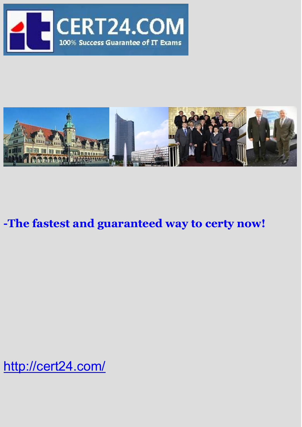



# **-The fastest and guaranteed way to certy now!**

<http://cert24.com/>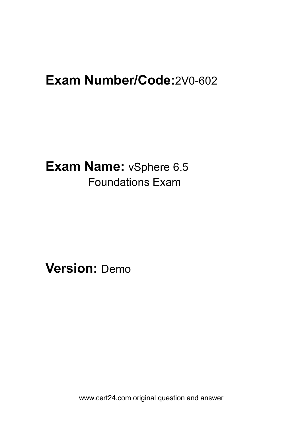# **Exam Number/Code:**2V0-602

**Exam Name:** vSphere 6.5 Foundations Exam

**Version:** Demo

www.cert24.com original question and answer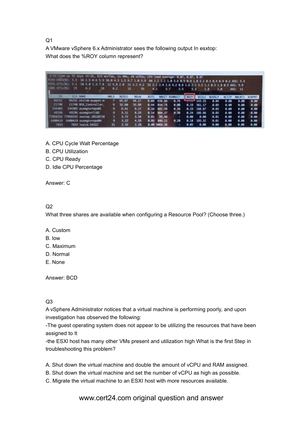Q1 and the contract of the contract of the contract of the contract of the contract of the contract of the contract of the contract of the contract of the contract of the contract of the contract of the contract of the con

A VMware vSphere 6.x Administrator sees the following output In esxtop: What does the %ROY column represent?

|                  | 2:32:21pm up 35 days 14:26, 819 worlds, 11 WMs, 28 vCPUs; CPU load average: 0.07, 0.07, 0.07                                                                                                                                                |      |               |        |             |                 |                |             |                        |               |              |                |                 |
|------------------|---------------------------------------------------------------------------------------------------------------------------------------------------------------------------------------------------------------------------------------------|------|---------------|--------|-------------|-----------------|----------------|-------------|------------------------|---------------|--------------|----------------|-----------------|
|                  | PCPU USED(%): 3.3 10 2.9 0.6 5.9 10.0 4.5 1.5 9.7 1.0 3.9 64 1.1 1.1 1.0 3.6 0.5 0.9 1.0 2.2 0.5 0.4 0.9 0.2 ANG: 5.5<br>POPU UTIL(N): 5.1 10 5.0 1.3 7.8 12 5.8 2.8 11 2.1 4.2 52 2.1 2.4 1.6 4.2 0.8 1.6 2.1 3.5 1.1 0.5 1.8 0.5 ANG: 5.9 |      |               |        |             |                 |                |             |                        |               |              |                |                 |
| CORE UTIL(%): 15 | 6.2<br>19                                                                                                                                                                                                                                   | 8.2  | 12            | 55     | 4.1         | 5.7             | 2.5            | 5.3         | 1.3                    | 2.0           |              | AVG: 11        |                 |
| ю                | <b>GID NAME</b>                                                                                                                                                                                                                             | NWLD | <b>SEISED</b> | 360.IN | <b>XSYS</b> |                 | <b>SOMMAIT</b> | <b>MROY</b> | <b>NTDLE</b>           | <b>WOVRLP</b> | <b>WCSTP</b> | <b>SIM MTD</b> | <b>SCSINPWT</b> |
| 56232            | 56232 atxlab-puppet-m                                                                                                                                                                                                                       |      | 65.67         | 54.17  | 0.09        | 638.66          | 8.74           |             | <b>Leaguest 143.55</b> | 0.04          | 0.00         | 0.00           | 0.00            |
| 21748            | 21740 NSX_Controller_                                                                                                                                                                                                                       |      | 32.60         | 35.99  |             | 0.44 854.78     | 0.00           |             | $0.19$ 361.17          | 0.65          | 0.00         | 0.00           | 0.00            |
| 334303           | 334303 ausmatvrops01                                                                                                                                                                                                                        | 9    | 6.41          | 9.17   |             | 0.16 881.58     | 0.34           |             | $0.19$ 188.87          | 0.03          | 0.00         | 0.08           | 0.00            |
| 49196            | 49196 ausmatvrlie1                                                                                                                                                                                                                          |      | 5.11          | 8.25   |             | $0.14$ $884.27$ | 9.38           |             | $8.24$ 189.86          | 0.03          | 0.00         | 0.08           | 0.00            |
|                  | 77058332 77058332 esxtop.10128716                                                                                                                                                                                                           |      | 3.72          | 3.54   |             | $0.01$ 95.46    |                | 0.00        | 0.00                   | 0.01          | 0.00         | 0.00           | 0.00.           |
|                  | 6400419 6400419 ausmatvrops84                                                                                                                                                                                                               | ۰    | 3.22          | 4.55   |             | 0.05 886.11     | 0.28           | 0.18        | 193.32                 | 0.01          | 0.00         | 0.00           | 0.00            |
| 7833             | 7833 nostd, 34322                                                                                                                                                                                                                           | 31   | 2.32          | 2.28   |             | 0.00 3066.36    |                | 0.05        | 0.00                   | 0.00          | 0.00         | 0.80           | 0.00            |

- A. CPU Cycle Walt Percentage
- B. CPU Utilization
- C. CPU Ready
- D. Idle CPU Percentage

Answer: C

#### Q2 and the contract of the contract of the contract of the contract of the contract of the contract of the contract of the contract of the contract of the contract of the contract of the contract of the contract of the con

What three shares are available when configuring a Resource Pool? (Choose three.)

- A. Custom
- B. low
- C. Maximum
- D. Normal
- E. None

Answer: BCD

#### Q3 and the contract of the contract of the contract of the contract of the contract of the contract of the contract of the contract of the contract of the contract of the contract of the contract of the contract of the con

A vSphere Administrator notices that a virtual machine is performing poorly, and upon investigation has observed the following:

-The guest operating system does not appear to be utilizing the resources that have been assigned to It

-the ESXl host has many other VMs present and utilization high What is the first Step in troubleshooting this problem?

- A. Shut down the virtual machine and double the amount of vCPU and RAM assigned.
- B. Shut down the virtual machine and set the number of vCPU as high as possible.<br>C. Migrate the virtual machine to an ESXI host with more resources available.
- 

www.cert24.com original question and answer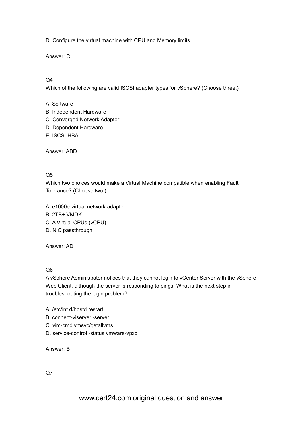D. Configure the virtual machine with CPU and Memory limits.

Answer: C

## Q4

Which of the following are valid ISCSI adapter types for vSphere? (Choose three.)

#### A. Software

- B. Independent Hardware
- C. Converged Network Adapter
- D. Dependent Hardware
- E. ISCSI HBA

Answer: ABD

#### Q5 and the contract of the contract of the contract of the contract of the contract of the contract of the contract of the contract of the contract of the contract of the contract of the contract of the contract of the con

Which two choices would make a Virtual Machine compatible when enabling Fault Tolerance? (Choose two.)

A. e1000e virtual network adapter B. 2TB+ VMDK C. A Virtual CPUs (vCPU) D. NIC passthrough

Answer: AD

## Q6 and the contract of the contract of the contract of the contract of the contract of the contract of the contract of the contract of the contract of the contract of the contract of the contract of the contract of the con

A vSphere Administrator notices that they cannot login to vCenter Server with the vSphere Web Client, although the server is responding to pings. What is the next step in troubleshooting the login problem?

- A. /etc/int.d/hostd restart
- B. connect-viserver -server
- C. vim-cmd vmsvc/getallvms
- D. service-control -status vmware-vpxd

Answer: B

Q7